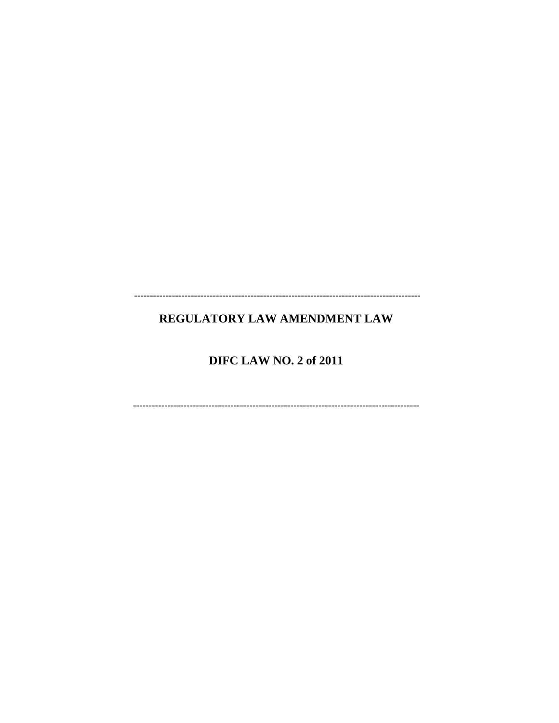# REGULATORY LAW AMENDMENT LAW

# **DIFC LAW NO. 2 of 2011**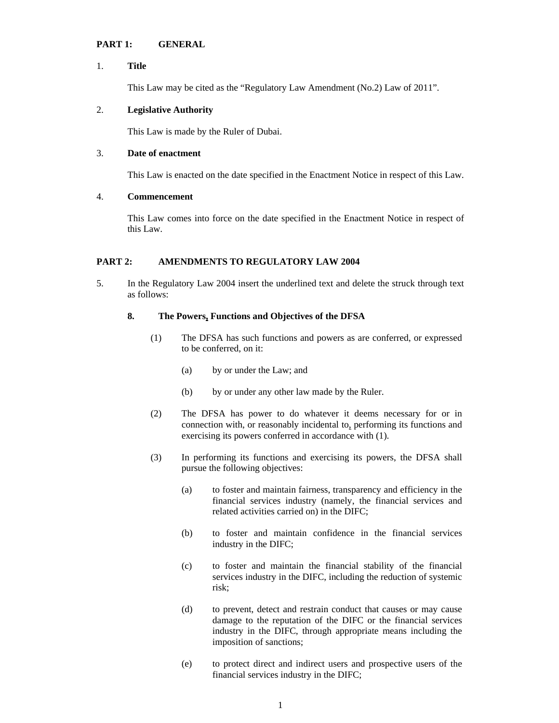# **PART 1: GENERAL**

# 1. **Title**

This Law may be cited as the "Regulatory Law Amendment (No.2) Law of 2011".

## 2. **Legislative Authority**

This Law is made by the Ruler of Dubai.

## 3. **Date of enactment**

This Law is enacted on the date specified in the Enactment Notice in respect of this Law.

# 4. **Commencement**

This Law comes into force on the date specified in the Enactment Notice in respect of this Law.

# **PART 2: AMENDMENTS TO REGULATORY LAW 2004**

5. In the Regulatory Law 2004 insert the underlined text and delete the struck through text as follows:

## **8. The Powers, Functions and Objectives of the DFSA**

- (1) The DFSA has such functions and powers as are conferred, or expressed to be conferred, on it:
	- (a) by or under the Law; and
	- (b) by or under any other law made by the Ruler.
- (2) The DFSA has power to do whatever it deems necessary for or in connection with, or reasonably incidental to, performing its functions and exercising its powers conferred in accordance with (1).
- (3) In performing its functions and exercising its powers, the DFSA shall pursue the following objectives:
	- (a) to foster and maintain fairness, transparency and efficiency in the financial services industry (namely, the financial services and related activities carried on) in the DIFC;
	- (b) to foster and maintain confidence in the financial services industry in the DIFC;
	- (c) to foster and maintain the financial stability of the financial services industry in the DIFC, including the reduction of systemic risk;
	- (d) to prevent, detect and restrain conduct that causes or may cause damage to the reputation of the DIFC or the financial services industry in the DIFC, through appropriate means including the imposition of sanctions;
	- (e) to protect direct and indirect users and prospective users of the financial services industry in the DIFC;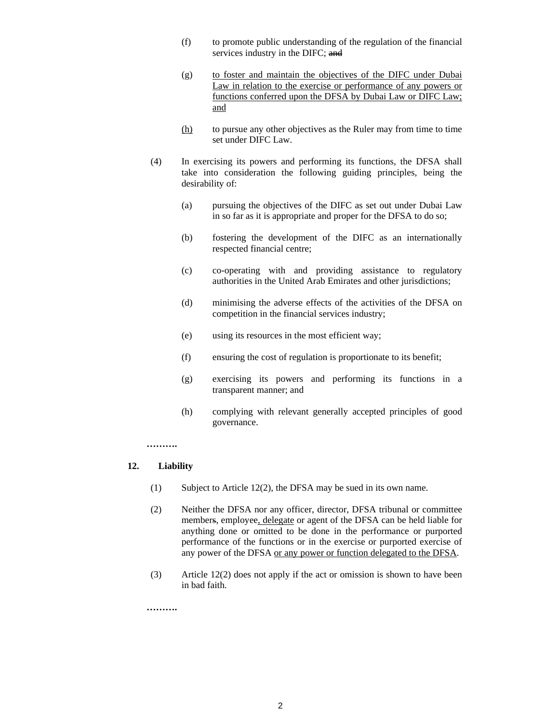- (f) to promote public understanding of the regulation of the financial services industry in the DIFC; and
- (g) to foster and maintain the objectives of the DIFC under Dubai Law in relation to the exercise or performance of any powers or functions conferred upon the DFSA by Dubai Law or DIFC Law; and
- (h) to pursue any other objectives as the Ruler may from time to time set under DIFC Law.
- (4) In exercising its powers and performing its functions, the DFSA shall take into consideration the following guiding principles, being the desirability of:
	- (a) pursuing the objectives of the DIFC as set out under Dubai Law in so far as it is appropriate and proper for the DFSA to do so;
	- (b) fostering the development of the DIFC as an internationally respected financial centre;
	- (c) co-operating with and providing assistance to regulatory authorities in the United Arab Emirates and other jurisdictions;
	- (d) minimising the adverse effects of the activities of the DFSA on competition in the financial services industry;
	- (e) using its resources in the most efficient way;
	- (f) ensuring the cost of regulation is proportionate to its benefit;
	- (g) exercising its powers and performing its functions in a transparent manner; and
	- (h) complying with relevant generally accepted principles of good governance.

**……….** 

# **12. Liability**

- (1) Subject to Article 12(2), the DFSA may be sued in its own name.
- (2) Neither the DFSA nor any officer, director, DFSA tribunal or committee members, employee, delegate or agent of the DFSA can be held liable for anything done or omitted to be done in the performance or purported performance of the functions or in the exercise or purported exercise of any power of the DFSA or any power or function delegated to the DFSA.
- (3) Article 12(2) does not apply if the act or omission is shown to have been in bad faith.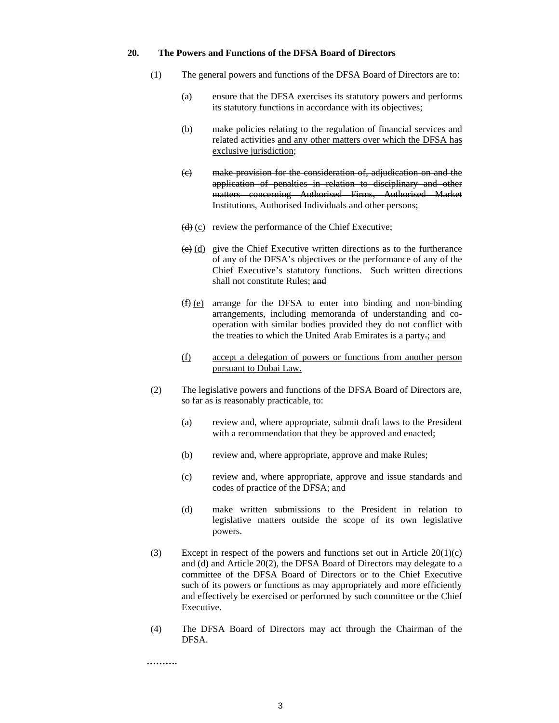#### **20. The Powers and Functions of the DFSA Board of Directors**

- (1) The general powers and functions of the DFSA Board of Directors are to:
	- (a) ensure that the DFSA exercises its statutory powers and performs its statutory functions in accordance with its objectives;
	- (b) make policies relating to the regulation of financial services and related activities and any other matters over which the DFSA has exclusive jurisdiction;
	- (c) make provision for the consideration of, adjudication on and the application of penalties in relation to disciplinary and other matters concerning Authorised Firms, Authorised Market Institutions, Authorised Individuals and other persons;
	- $(d)$  (c) review the performance of the Chief Executive;
	- $\overline{(e)}$  (d) give the Chief Executive written directions as to the furtherance of any of the DFSA's objectives or the performance of any of the Chief Executive's statutory functions. Such written directions shall not constitute Rules; and
	- (f) (e) arrange for the DFSA to enter into binding and non-binding arrangements, including memoranda of understanding and cooperation with similar bodies provided they do not conflict with the treaties to which the United Arab Emirates is a party.; and
	- (f) accept a delegation of powers or functions from another person pursuant to Dubai Law.
- (2) The legislative powers and functions of the DFSA Board of Directors are, so far as is reasonably practicable, to:
	- (a) review and, where appropriate, submit draft laws to the President with a recommendation that they be approved and enacted;
	- (b) review and, where appropriate, approve and make Rules;
	- (c) review and, where appropriate, approve and issue standards and codes of practice of the DFSA; and
	- (d) make written submissions to the President in relation to legislative matters outside the scope of its own legislative powers.
- (3) Except in respect of the powers and functions set out in Article 20(1)(c) and (d) and Article 20(2), the DFSA Board of Directors may delegate to a committee of the DFSA Board of Directors or to the Chief Executive such of its powers or functions as may appropriately and more efficiently and effectively be exercised or performed by such committee or the Chief Executive.
- (4) The DFSA Board of Directors may act through the Chairman of the DFSA.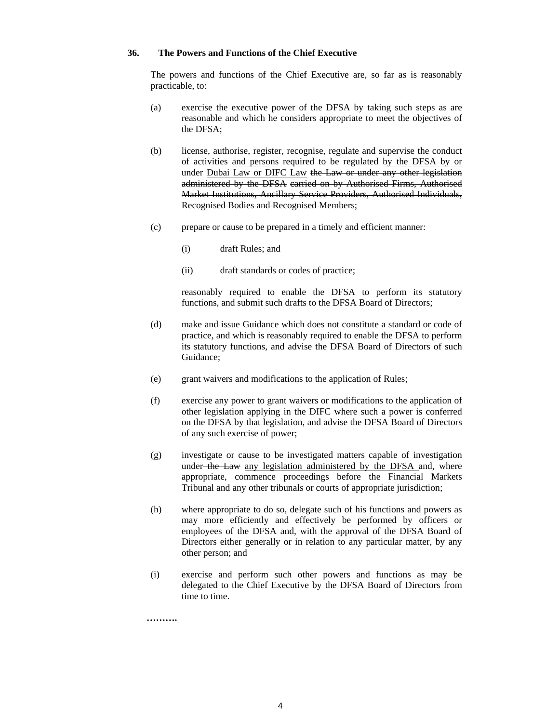## **36. The Powers and Functions of the Chief Executive**

The powers and functions of the Chief Executive are, so far as is reasonably practicable, to:

- (a) exercise the executive power of the DFSA by taking such steps as are reasonable and which he considers appropriate to meet the objectives of the DFSA;
- (b) license, authorise, register, recognise, regulate and supervise the conduct of activities and persons required to be regulated by the DFSA by or under Dubai Law or DIFC Law the Law or under any other legislation administered by the DFSA carried on by Authorised Firms, Authorised Market Institutions, Ancillary Service Providers, Authorised Individuals, Recognised Bodies and Recognised Members;
- (c) prepare or cause to be prepared in a timely and efficient manner:
	- (i) draft Rules; and
	- (ii) draft standards or codes of practice;

reasonably required to enable the DFSA to perform its statutory functions, and submit such drafts to the DFSA Board of Directors;

- (d) make and issue Guidance which does not constitute a standard or code of practice, and which is reasonably required to enable the DFSA to perform its statutory functions, and advise the DFSA Board of Directors of such Guidance;
- (e) grant waivers and modifications to the application of Rules;
- (f) exercise any power to grant waivers or modifications to the application of other legislation applying in the DIFC where such a power is conferred on the DFSA by that legislation, and advise the DFSA Board of Directors of any such exercise of power;
- (g) investigate or cause to be investigated matters capable of investigation under the Law any legislation administered by the DFSA and, where appropriate, commence proceedings before the Financial Markets Tribunal and any other tribunals or courts of appropriate jurisdiction;
- (h) where appropriate to do so, delegate such of his functions and powers as may more efficiently and effectively be performed by officers or employees of the DFSA and, with the approval of the DFSA Board of Directors either generally or in relation to any particular matter, by any other person; and
- (i) exercise and perform such other powers and functions as may be delegated to the Chief Executive by the DFSA Board of Directors from time to time.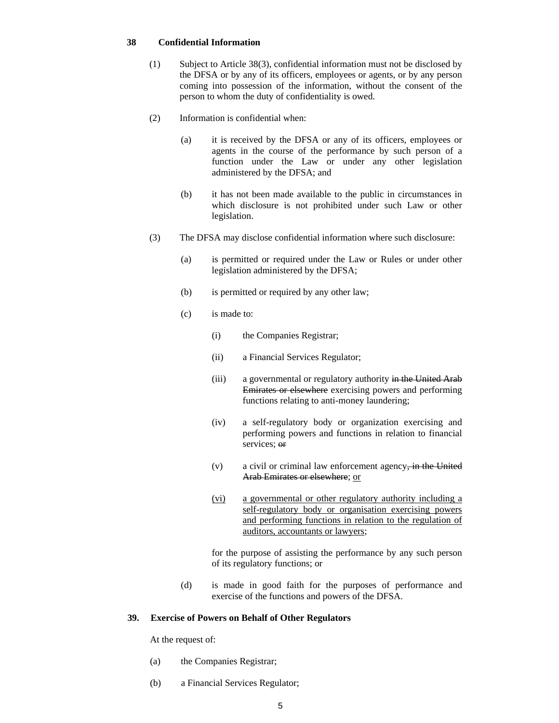## **38 Confidential Information**

- (1) Subject to Article 38(3), confidential information must not be disclosed by the DFSA or by any of its officers, employees or agents, or by any person coming into possession of the information, without the consent of the person to whom the duty of confidentiality is owed.
- (2) Information is confidential when:
	- (a) it is received by the DFSA or any of its officers, employees or agents in the course of the performance by such person of a function under the Law or under any other legislation administered by the DFSA; and
	- (b) it has not been made available to the public in circumstances in which disclosure is not prohibited under such Law or other legislation.
- (3) The DFSA may disclose confidential information where such disclosure:
	- (a) is permitted or required under the Law or Rules or under other legislation administered by the DFSA;
	- (b) is permitted or required by any other law;
	- (c) is made to:
		- (i) the Companies Registrar;
		- (ii) a Financial Services Regulator;
		- (iii) a governmental or regulatory authority in the United Arab Emirates or elsewhere exercising powers and performing functions relating to anti-money laundering;
		- (iv) a self-regulatory body or organization exercising and performing powers and functions in relation to financial services: or
		- (v) a civil or criminal law enforcement agency, in the United Arab Emirates or elsewhere; or
		- (vi) a governmental or other regulatory authority including a self-regulatory body or organisation exercising powers and performing functions in relation to the regulation of auditors, accountants or lawyers;

for the purpose of assisting the performance by any such person of its regulatory functions; or

(d) is made in good faith for the purposes of performance and exercise of the functions and powers of the DFSA.

## **39. Exercise of Powers on Behalf of Other Regulators**

At the request of:

- (a) the Companies Registrar;
- (b) a Financial Services Regulator;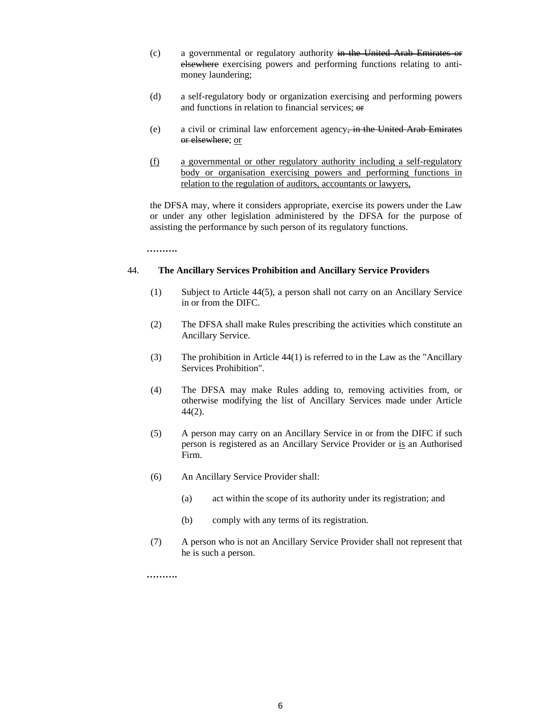- (c) a governmental or regulatory authority in the United Arab Emirates or elsewhere exercising powers and performing functions relating to antimoney laundering;
- (d) a self-regulatory body or organization exercising and performing powers and functions in relation to financial services; or
- (e) a civil or criminal law enforcement agency, in the United Arab Emirates or elsewhere; or
- (f) a governmental or other regulatory authority including a self-regulatory body or organisation exercising powers and performing functions in relation to the regulation of auditors, accountants or lawyers,

the DFSA may, where it considers appropriate, exercise its powers under the Law or under any other legislation administered by the DFSA for the purpose of assisting the performance by such person of its regulatory functions.

**……….** 

## 44. **The Ancillary Services Prohibition and Ancillary Service Providers**

- (1) Subject to Article 44(5), a person shall not carry on an Ancillary Service in or from the DIFC.
- (2) The DFSA shall make Rules prescribing the activities which constitute an Ancillary Service.
- (3) The prohibition in Article 44(1) is referred to in the Law as the "Ancillary Services Prohibition".
- (4) The DFSA may make Rules adding to, removing activities from, or otherwise modifying the list of Ancillary Services made under Article 44(2).
- (5) A person may carry on an Ancillary Service in or from the DIFC if such person is registered as an Ancillary Service Provider or is an Authorised Firm.
- (6) An Ancillary Service Provider shall:
	- (a) act within the scope of its authority under its registration; and
	- (b) comply with any terms of its registration.
- (7) A person who is not an Ancillary Service Provider shall not represent that he is such a person.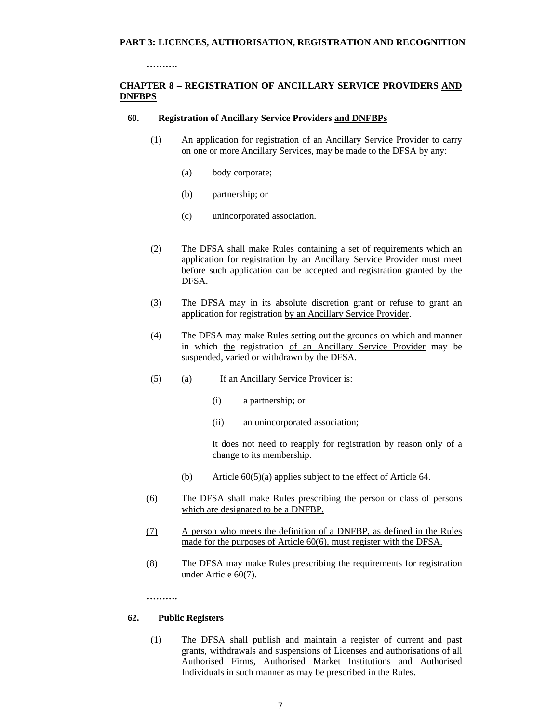**……….** 

# **CHAPTER 8 – REGISTRATION OF ANCILLARY SERVICE PROVIDERS AND DNFBPS**

## **60. Registration of Ancillary Service Providers and DNFBPs**

- (1) An application for registration of an Ancillary Service Provider to carry on one or more Ancillary Services, may be made to the DFSA by any:
	- (a) body corporate;
	- (b) partnership; or
	- (c) unincorporated association.
- (2) The DFSA shall make Rules containing a set of requirements which an application for registration by an Ancillary Service Provider must meet before such application can be accepted and registration granted by the DFSA.
- (3) The DFSA may in its absolute discretion grant or refuse to grant an application for registration by an Ancillary Service Provider.
- (4) The DFSA may make Rules setting out the grounds on which and manner in which the registration of an Ancillary Service Provider may be suspended, varied or withdrawn by the DFSA.
- (5) (a) If an Ancillary Service Provider is:
	- (i) a partnership; or
	- (ii) an unincorporated association;

it does not need to reapply for registration by reason only of a change to its membership.

- (b) Article 60(5)(a) applies subject to the effect of Article 64.
- (6) The DFSA shall make Rules prescribing the person or class of persons which are designated to be a DNFBP.
- (7) A person who meets the definition of a DNFBP, as defined in the Rules made for the purposes of Article 60(6), must register with the DFSA.
- (8) The DFSA may make Rules prescribing the requirements for registration under Article 60(7).

**……….** 

## **62. Public Registers**

(1) The DFSA shall publish and maintain a register of current and past grants, withdrawals and suspensions of Licenses and authorisations of all Authorised Firms, Authorised Market Institutions and Authorised Individuals in such manner as may be prescribed in the Rules.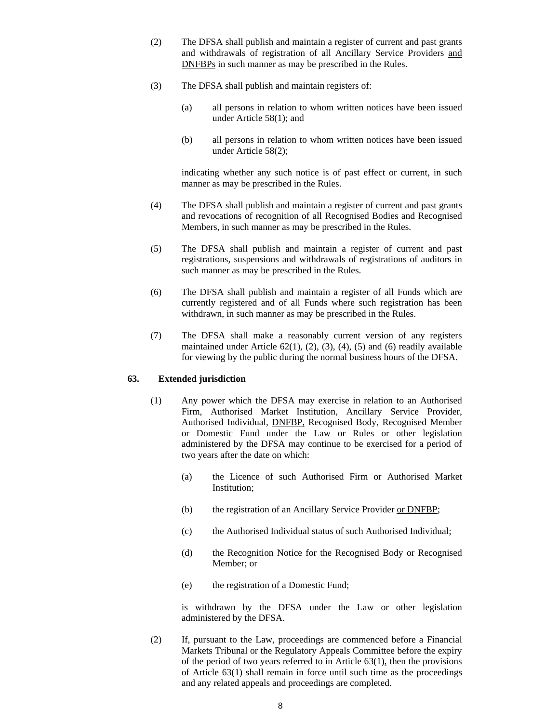- (2) The DFSA shall publish and maintain a register of current and past grants and withdrawals of registration of all Ancillary Service Providers and DNFBPs in such manner as may be prescribed in the Rules.
- (3) The DFSA shall publish and maintain registers of:
	- (a) all persons in relation to whom written notices have been issued under Article 58(1); and
	- (b) all persons in relation to whom written notices have been issued under Article 58(2);

indicating whether any such notice is of past effect or current, in such manner as may be prescribed in the Rules.

- (4) The DFSA shall publish and maintain a register of current and past grants and revocations of recognition of all Recognised Bodies and Recognised Members, in such manner as may be prescribed in the Rules.
- (5) The DFSA shall publish and maintain a register of current and past registrations, suspensions and withdrawals of registrations of auditors in such manner as may be prescribed in the Rules.
- (6) The DFSA shall publish and maintain a register of all Funds which are currently registered and of all Funds where such registration has been withdrawn, in such manner as may be prescribed in the Rules.
- (7) The DFSA shall make a reasonably current version of any registers maintained under Article  $62(1)$ ,  $(2)$ ,  $(3)$ ,  $(4)$ ,  $(5)$  and  $(6)$  readily available for viewing by the public during the normal business hours of the DFSA.

# **63. Extended jurisdiction**

- (1) Any power which the DFSA may exercise in relation to an Authorised Firm, Authorised Market Institution, Ancillary Service Provider, Authorised Individual, DNFBP, Recognised Body, Recognised Member or Domestic Fund under the Law or Rules or other legislation administered by the DFSA may continue to be exercised for a period of two years after the date on which:
	- (a) the Licence of such Authorised Firm or Authorised Market Institution;
	- (b) the registration of an Ancillary Service Provider or DNFBP;
	- (c) the Authorised Individual status of such Authorised Individual;
	- (d) the Recognition Notice for the Recognised Body or Recognised Member; or
	- (e) the registration of a Domestic Fund;

is withdrawn by the DFSA under the Law or other legislation administered by the DFSA.

(2) If, pursuant to the Law, proceedings are commenced before a Financial Markets Tribunal or the Regulatory Appeals Committee before the expiry of the period of two years referred to in Article  $63(1)$ , then the provisions of Article 63(1) shall remain in force until such time as the proceedings and any related appeals and proceedings are completed.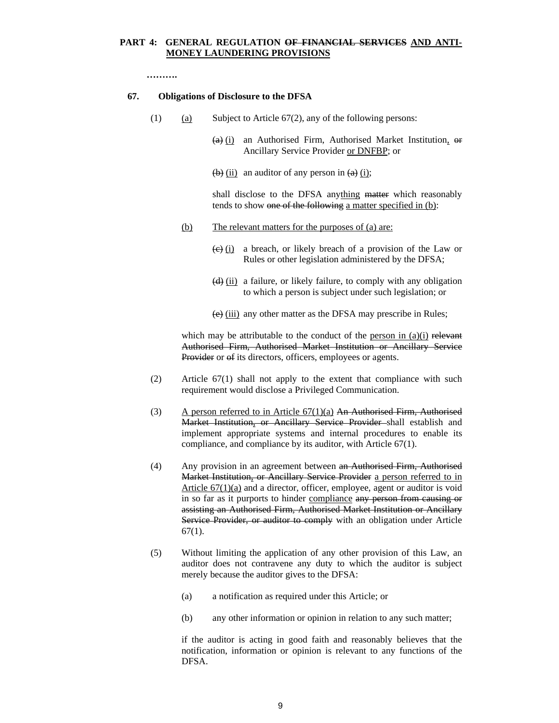# **PART 4: GENERAL REGULATION OF FINANCIAL SERVICES AND ANTI-MONEY LAUNDERING PROVISIONS**

**……….** 

#### **67. Obligations of Disclosure to the DFSA**

- (1) (a) Subject to Article  $67(2)$ , any of the following persons:
	- $(a)$  (i) an Authorised Firm, Authorised Market Institution, or Ancillary Service Provider or DNFBP; or
	- $\left(\frac{b}{c}\right)$  (ii) an auditor of any person in  $\left(\frac{a}{c}\right)$  (i);

shall disclose to the DFSA anything matter which reasonably tends to show one of the following a matter specified in (b):

- (b) The relevant matters for the purposes of (a) are:
	- $\overline{(e)}$  (i) a breach, or likely breach of a provision of the Law or Rules or other legislation administered by the DFSA;
	- $\left(\frac{d}{dx}\right)$  (ii) a failure, or likely failure, to comply with any obligation to which a person is subject under such legislation; or
	- (e) (iii) any other matter as the DFSA may prescribe in Rules;

which may be attributable to the conduct of the <u>person in  $(a)(i)$  relevant</u> Authorised Firm, Authorised Market Institution or Ancillary Service Provider or  $\theta$  its directors, officers, employees or agents.

- (2) Article 67(1) shall not apply to the extent that compliance with such requirement would disclose a Privileged Communication.
- (3) A person referred to in Article  $67(1)(a)$  An Authorised Firm, Authorised Market Institution, or Ancillary Service Provider shall establish and implement appropriate systems and internal procedures to enable its compliance, and compliance by its auditor, with Article 67(1).
- (4) Any provision in an agreement between an Authorised Firm, Authorised Market Institution, or Ancillary Service Provider a person referred to in Article 67(1)(a) and a director, officer, employee, agent or auditor is void in so far as it purports to hinder compliance any person from causing or assisting an Authorised Firm, Authorised Market Institution or Ancillary Service Provider, or auditor to comply with an obligation under Article  $67(1)$ .
- (5) Without limiting the application of any other provision of this Law, an auditor does not contravene any duty to which the auditor is subject merely because the auditor gives to the DFSA:
	- (a) a notification as required under this Article; or
	- (b) any other information or opinion in relation to any such matter;

if the auditor is acting in good faith and reasonably believes that the notification, information or opinion is relevant to any functions of the DFSA.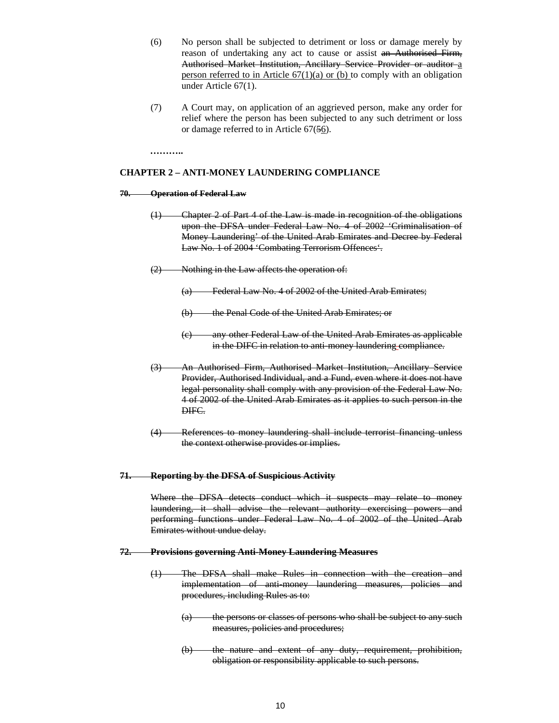- (6) No person shall be subjected to detriment or loss or damage merely by reason of undertaking any act to cause or assist an Authorised Firm, Authorised Market Institution, Ancillary Service Provider or auditor a person referred to in Article  $67(1)(a)$  or (b) to comply with an obligation under Article 67(1).
- (7) A Court may, on application of an aggrieved person, make any order for relief where the person has been subjected to any such detriment or loss or damage referred to in Article 67(56).

**………..** 

#### **CHAPTER 2 – ANTI-MONEY LAUNDERING COMPLIANCE**

#### **70. Operation of Federal Law**

- (1) Chapter 2 of Part 4 of the Law is made in recognition of the obligations upon the DFSA under Federal Law No. 4 of 2002 'Criminalisation of Money Laundering' of the United Arab Emirates and Decree by Federal Law No. 1 of 2004 'Combating Terrorism Offences'.
- (2) Nothing in the Law affects the operation of:
	- (a) Federal Law No. 4 of 2002 of the United Arab Emirates;
	- (b) the Penal Code of the United Arab Emirates; or
	- (c) any other Federal Law of the United Arab Emirates as applicable in the DIFC in relation to anti-money laundering compliance.
- (3) An Authorised Firm, Authorised Market Institution, Ancillary Service Provider, Authorised Individual, and a Fund, even where it does not have legal personality shall comply with any provision of the Federal Law No. 4 of 2002 of the United Arab Emirates as it applies to such person in the DIFC.
- (4) References to money laundering shall include terrorist financing unless the context otherwise provides or implies.

#### **71. Reporting by the DFSA of Suspicious Activity**

Where the DFSA detects conduct which it suspects may relate to money laundering, it shall advise the relevant authority exercising powers and performing functions under Federal Law No. 4 of 2002 of the United Arab Emirates without undue delay.

## **72. Provisions governing Anti-Money Laundering Measures**

- (1) The DFSA shall make Rules in connection with the creation and implementation of anti-money laundering measures, policies and procedures, including Rules as to:
	- (a) the persons or classes of persons who shall be subject to any such measures, policies and procedures;
	- (b) the nature and extent of any duty, requirement, prohibition, obligation or responsibility applicable to such persons.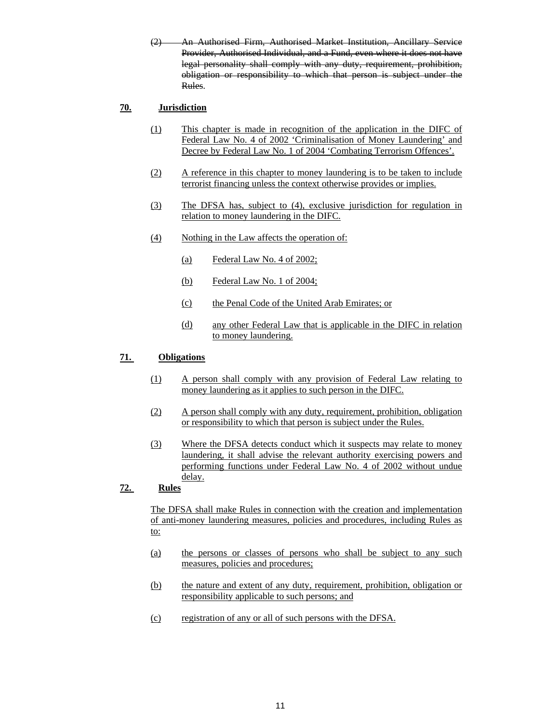(2) An Authorised Firm, Authorised Market Institution, Ancillary Service Provider, Authorised Individual, and a Fund, even where it does not have legal personality shall comply with any duty, requirement, prohibition, obligation or responsibility to which that person is subject under the Rules.

# **70. Jurisdiction**

- (1) This chapter is made in recognition of the application in the DIFC of Federal Law No. 4 of 2002 'Criminalisation of Money Laundering' and Decree by Federal Law No. 1 of 2004 'Combating Terrorism Offences'.
- (2) A reference in this chapter to money laundering is to be taken to include terrorist financing unless the context otherwise provides or implies.
- (3) The DFSA has, subject to (4), exclusive jurisdiction for regulation in relation to money laundering in the DIFC.
- (4) Nothing in the Law affects the operation of:
	- (a) Federal Law No. 4 of 2002;
	- (b) Federal Law No. 1 of 2004;
	- (c) the Penal Code of the United Arab Emirates; or
	- (d) any other Federal Law that is applicable in the DIFC in relation to money laundering.

# **71. Obligations**

- (1) A person shall comply with any provision of Federal Law relating to money laundering as it applies to such person in the DIFC.
- (2) A person shall comply with any duty, requirement, prohibition, obligation or responsibility to which that person is subject under the Rules.
- (3) Where the DFSA detects conduct which it suspects may relate to money laundering, it shall advise the relevant authority exercising powers and performing functions under Federal Law No. 4 of 2002 without undue delay.

# **72. Rules**

The DFSA shall make Rules in connection with the creation and implementation of anti-money laundering measures, policies and procedures, including Rules as to:

- (a) the persons or classes of persons who shall be subject to any such measures, policies and procedures;
- (b) the nature and extent of any duty, requirement, prohibition, obligation or responsibility applicable to such persons; and
- (c) registration of any or all of such persons with the DFSA.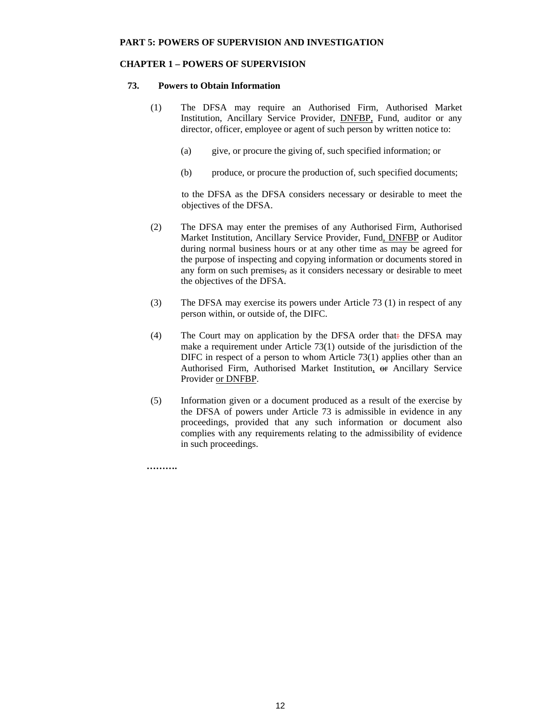# **CHAPTER 1 – POWERS OF SUPERVISION**

# **73. Powers to Obtain Information**

- (1) The DFSA may require an Authorised Firm, Authorised Market Institution, Ancillary Service Provider, DNFBP, Fund, auditor or any director, officer, employee or agent of such person by written notice to:
	- (a) give, or procure the giving of, such specified information; or
	- (b) produce, or procure the production of, such specified documents;

to the DFSA as the DFSA considers necessary or desirable to meet the objectives of the DFSA.

- (2) The DFSA may enter the premises of any Authorised Firm, Authorised Market Institution, Ancillary Service Provider, Fund, DNFBP or Auditor during normal business hours or at any other time as may be agreed for the purpose of inspecting and copying information or documents stored in any form on such premises, as it considers necessary or desirable to meet the objectives of the DFSA.
- (3) The DFSA may exercise its powers under Article 73 (1) in respect of any person within, or outside of, the DIFC.
- (4) The Court may on application by the DFSA order that: the DFSA may make a requirement under Article 73(1) outside of the jurisdiction of the DIFC in respect of a person to whom Article 73(1) applies other than an Authorised Firm, Authorised Market Institution, or Ancillary Service Provider or DNFBP.
- (5) Information given or a document produced as a result of the exercise by the DFSA of powers under Article 73 is admissible in evidence in any proceedings, provided that any such information or document also complies with any requirements relating to the admissibility of evidence in such proceedings.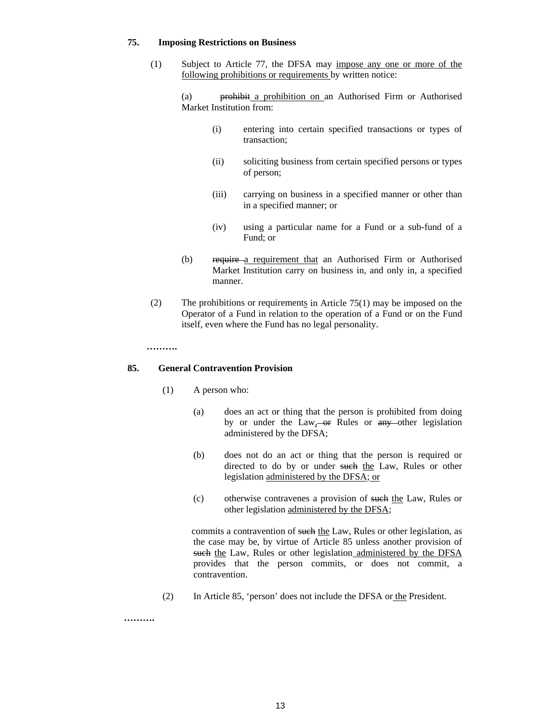#### **75. Imposing Restrictions on Business**

(1) Subject to Article 77, the DFSA may impose any one or more of the following prohibitions or requirements by written notice:

(a) prohibit a prohibition on an Authorised Firm or Authorised Market Institution from:

- (i) entering into certain specified transactions or types of transaction;
- (ii) soliciting business from certain specified persons or types of person;
- (iii) carrying on business in a specified manner or other than in a specified manner; or
- (iv) using a particular name for a Fund or a sub-fund of a Fund; or
- (b) require a requirement that an Authorised Firm or Authorised Market Institution carry on business in, and only in, a specified manner.
- (2) The prohibitions or requirements in Article 75(1) may be imposed on the Operator of a Fund in relation to the operation of a Fund or on the Fund itself, even where the Fund has no legal personality.

#### **……….**

### **85. General Contravention Provision**

- (1) A person who:
	- (a) does an act or thing that the person is prohibited from doing by or under the Law,  $-$ or Rules or  $any$  other legislation administered by the DFSA;
	- (b) does not do an act or thing that the person is required or directed to do by or under such the Law, Rules or other legislation administered by the DFSA; or
	- (c) otherwise contravenes a provision of such the Law, Rules or other legislation administered by the DFSA;

commits a contravention of such the Law, Rules or other legislation, as the case may be, by virtue of Article 85 unless another provision of such the Law, Rules or other legislation administered by the DFSA provides that the person commits, or does not commit, a contravention.

(2) In Article 85, 'person' does not include the DFSA or the President.